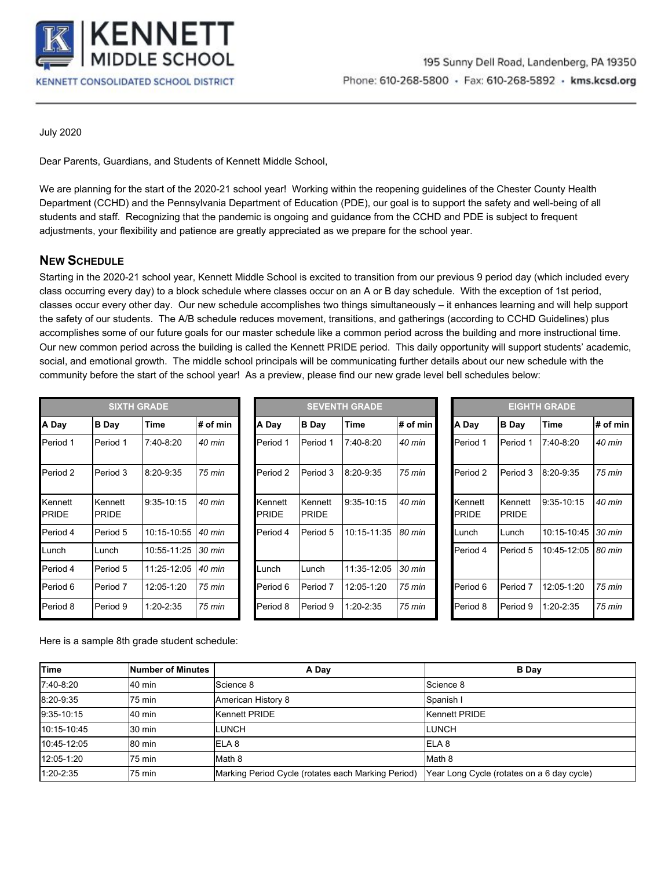

July 2020

Dear Parents, Guardians, and Students of Kennett Middle School,

We are planning for the start of the 2020-21 school year! Working within the reopening guidelines of the Chester County Health Department (CCHD) and the Pennsylvania Department of Education (PDE), our goal is to support the safety and well-being of all students and staff. Recognizing that the pandemic is ongoing and guidance from the CCHD and PDE is subject to frequent adjustments, your flexibility and patience are greatly appreciated as we prepare for the school year.

# **NEW SCHEDULE**

Starting in the 2020-21 school year, Kennett Middle School is excited to transition from our previous 9 period day (which included every class occurring every day) to a block schedule where classes occur on an A or B day schedule. With the exception of 1st period, classes occur every other day. Our new schedule accomplishes two things simultaneously – it enhances learning and will help support the safety of our students. The A/B schedule reduces movement, transitions, and gatherings (according to CCHD Guidelines) plus accomplishes some of our future goals for our master schedule like a common period across the building and more instructional time. Our new common period across the building is called the Kennett PRIDE period. This daily opportunity will support students' academic, social, and emotional growth. The middle school principals will be communicating further details about our new schedule with the community before the start of the school year! As a preview, please find our new grade level bell schedules below:

| <b>SIXTH GRADE</b>      |                         |               |          |                         | <b>SEVENTH GRADE</b>    |                 |                  |  | <b>EIGHTH GRADE</b>     |                         |               |                  |  |
|-------------------------|-------------------------|---------------|----------|-------------------------|-------------------------|-----------------|------------------|--|-------------------------|-------------------------|---------------|------------------|--|
| A Day                   | <b>B</b> Day            | Time          | # of min | A Day                   | <b>B</b> Day            | Time            | # of min         |  | A Day                   | <b>B</b> Day            | Time          | # of min         |  |
| Period 1                | Period 1                | 7:40-8:20     | 40 min   | Period 1                | Period 1                | $7:40-8:20$     | 40 min           |  | Period 1                | Period 1                | $7:40-8:20$   | 40 min           |  |
| Period 2                | Period 3                | 8:20-9:35     | 75 min   | Period 2                | Period 3                | $8:20 - 9:35$   | 75 min           |  | Period 2                | Period 3                | $8:20 - 9:35$ | 75 min           |  |
| Kennett<br><b>PRIDE</b> | Kennett<br><b>PRIDE</b> | 9:35-10:15    | 40 min   | Kennett<br><b>PRIDE</b> | Kennett<br><b>PRIDE</b> | $9:35-10:15$    | 40 min           |  | Kennett<br><b>PRIDE</b> | Kennett<br><b>PRIDE</b> | $9:35-10:15$  | 40 min           |  |
| Period 4                | Period 5                | 10:15-10:55   | 40 min   | Period 4                | Period 5                | $10:15 - 11:35$ | 80 min           |  | Lunch                   | Lunch                   | 10:15-10:45   | $30 \text{ min}$ |  |
| Lunch                   | Lunch                   | 10:55-11:25   | 30 min   |                         |                         |                 |                  |  | Period 4                | Period 5                | 10:45-12:05   | 80 min           |  |
| Period 4                | Period 5                | 11:25-12:05   | 40 min   | Lunch                   | Lunch                   | 11:35-12:05     | $30 \text{ min}$ |  |                         |                         |               |                  |  |
| Period 6                | Period 7                | 12:05-1:20    | 75 min   | Period 6                | Period 7                | 12:05-1:20      | 75 min           |  | Period 6                | Period <sub>7</sub>     | 12:05-1:20    | 75 min           |  |
| Period 8                | Period 9                | $1:20 - 2:35$ | 75 min   | Period 8                | Period 9                | $1:20 - 2:35$   | 75 min           |  | Period 8                | Period 9                | $1:20 - 2:35$ | 75 min           |  |

| <b>SIXTH GRADE</b> |               |                  | <b>SEVENTH GRADE</b> |                         |               |                  |  |                         |                         | <b>EIGHTH GRADE</b> |
|--------------------|---------------|------------------|----------------------|-------------------------|---------------|------------------|--|-------------------------|-------------------------|---------------------|
| ay                 | Time          | $#$ of min       | A Day                | <b>B</b> Day            | Time          | # of $min$       |  | A Day                   | <b>B</b> Day            | Time                |
| iod 1              | $7:40-8:20$   | 40 min           | Period 1             | Period 1                | $7:40-8:20$   | 40 min           |  | Period 1                | Period 1                | $7:40-8:20$         |
| iod 3              | $8:20-9:35$   | 75 min           | Period 2             | Period 3                | $8:20 - 9:35$ | 75 min           |  | Period 2                | Period 3                | 8:20-9:35           |
| ınett<br>DE.       | $9:35-10:15$  | 40 min           | Kennett<br>PRIDE     | Kennett<br><b>PRIDE</b> | $9:35-10:15$  | 40 min           |  | Kennett<br><b>PRIDE</b> | Kennett<br><b>PRIDE</b> | $9:35 - 10:1$       |
| iod 5              | 10:15-10:55   | 40 min           | Period 4             | Period 5                | 10:15-11:35   | 80 min           |  | Lunch                   | Lunch                   | 10:15-10            |
| ch                 | 10:55-11:25   | $30 \text{ min}$ |                      |                         |               |                  |  | Period 4                | Period 5                | $10:45-12$          |
| iod 5              | 11:25-12:05   | 40 min           | Lunch                | Lunch                   | 11:35-12:05   | $30 \text{ min}$ |  |                         |                         |                     |
| iod 7              | 12:05-1:20    | 75 min           | Period 6             | Period 7                | 12:05-1:20    | 75 min           |  | Period 6                | Period 7                | 12:05-1:2           |
| iod 9              | $1:20 - 2:35$ | 75 min           | Period 8             | Period 9                | $1:20 - 2:35$ | 75 min           |  | Period 8                | Period 9                | $1:20 - 2:35$       |

| <b>EIGHTH GRADE</b>     |                         |               |                  |  |  |  |  |  |
|-------------------------|-------------------------|---------------|------------------|--|--|--|--|--|
| A Day                   | <b>B</b> Day            | <b>Time</b>   | # of min         |  |  |  |  |  |
| Period 1                | Period 1                | $7:40-8:20$   | 40 min           |  |  |  |  |  |
| Period 2                | Period 3                | $8:20 - 9:35$ | 75 min           |  |  |  |  |  |
| Kennett<br><b>PRIDE</b> | Kennett<br><b>PRIDE</b> | 9:35-10:15    | 40 min           |  |  |  |  |  |
| Lunch                   | Lunch                   | 10:15-10:45   | $30 \text{ min}$ |  |  |  |  |  |
| Period 4                | Period 5                | 10:45-12:05   | 80 min           |  |  |  |  |  |
| Period 6                | Period 7                | 12:05-1:20    | 75 min           |  |  |  |  |  |
| Period 8                | Period 9                | 1:20-2:35     | 75 min           |  |  |  |  |  |

Here is a sample 8th grade student schedule:

| Time         | Number of Minutes | A Day                                              | <b>B</b> Day                               |
|--------------|-------------------|----------------------------------------------------|--------------------------------------------|
| 7:40-8:20    | 40 min            | Science 8                                          | Science 8                                  |
| 8:20-9:35    | 75 min            | American History 8                                 | Spanish I                                  |
| $9:35-10:15$ | 40 min            | Kennett PRIDE                                      | <b>Kennett PRIDE</b>                       |
| 10:15-10:45  | 30 min            | <b>LUNCH</b>                                       | <b>LUNCH</b>                               |
| 10:45-12:05  | 80 min            | <b>IELA 8</b>                                      | <b>IELA 8</b>                              |
| 12:05-1:20   | 75 min            | Math 8                                             | Math 8                                     |
| 1:20-2:35    | 75 min            | Marking Period Cycle (rotates each Marking Period) | Year Long Cycle (rotates on a 6 day cycle) |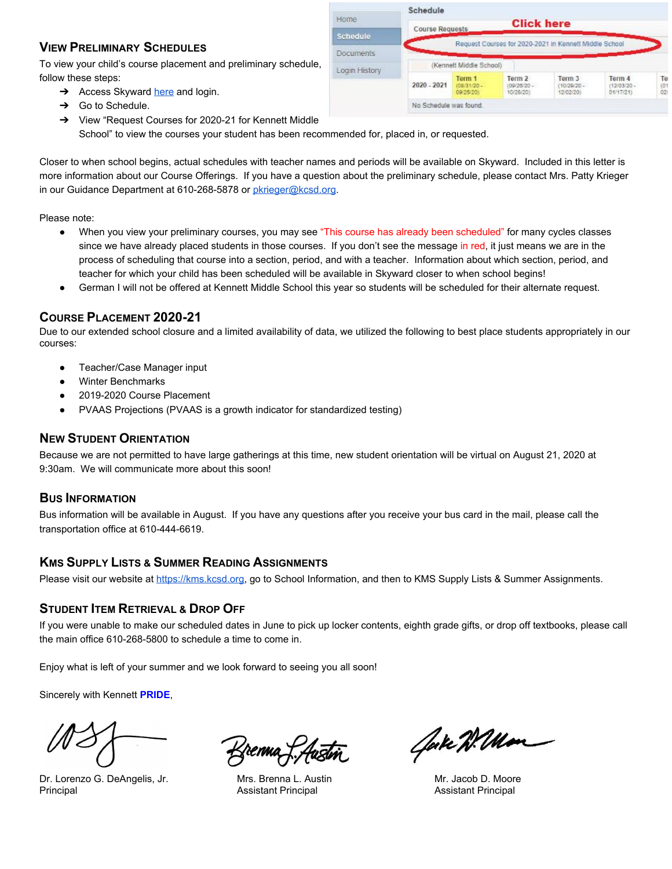# **VIEW PRELIMINARY SCHEDULES**

To view your child's course placement and preliminary schedule, follow these steps:

- $\rightarrow$  Access Skyward [here](https://kms.kcsd.org/for-parents/family-and-student-skyward-access/) and login.
- → Go to Schedule.
- ➔ View "Request Courses for 2020-21 for Kennett Middle School" to view the courses your student has been recommended for, placed in, or requested.

Closer to when school begins, actual schedules with teacher names and periods will be available on Skyward. Included in this letter is more information about our Course Offerings. If you have a question about the preliminary schedule, please contact Mrs. Patty Krieger in our Guidance Department at 610-268-5878 or [pkrieger@kcsd.org](mailto:pkrieger@kcsd.org).

Home

Schedule

Documents

Login History

Schedule

2020 - 2021

**Course Requests** 

No Schedule was found.

(Kennett Middle School)

Term 1

09/25/201

**Click here** 

Request Courses for 2020-2021 in Kennett Middle School

Term 3

(10/29/20)

12/02/20

Term 4

(12/03/20)<br>01/17/21)

Te

 $^{(0)}_{02}$ 

Term 2

(09/25/20)<br>10/28/20)

Please note:

- When you view your preliminary courses, you may see "This course has already been scheduled" for many cycles classes since we have already placed students in those courses. If you don't see the message in red, it just means we are in the process of scheduling that course into a section, period, and with a teacher. Information about which section, period, and teacher for which your child has been scheduled will be available in Skyward closer to when school begins!
- German I will not be offered at Kennett Middle School this year so students will be scheduled for their alternate request.

# **COURSE PLACEMENT 2020-21**

Due to our extended school closure and a limited availability of data, we utilized the following to best place students appropriately in our courses:

- Teacher/Case Manager input
- **Winter Benchmarks**
- 2019-2020 Course Placement
- PVAAS Projections (PVAAS is a growth indicator for standardized testing)

#### **NEW STUDENT ORIENTATION**

Because we are not permitted to have large gatherings at this time, new student orientation will be virtual on August 21, 2020 at 9:30am. We will communicate more about this soon!

### **BUS INFORMATION**

Bus information will be available in August. If you have any questions after you receive your bus card in the mail, please call the transportation office at 610-444-6619.

#### **KMS SUPPLY LISTS & SUMMER READING ASSIGNMENTS**

Please visit our website at [https://kms.kcsd.org,](https://kms.kcsd.org/) go to School Information, and then to KMS Supply Lists & Summer Assignments.

### **STUDENT ITEM RETRIEVAL & DROP OFF**

If you were unable to make our scheduled dates in June to pick up locker contents, eighth grade gifts, or drop off textbooks, please call the main office 610-268-5800 to schedule a time to come in.

Enjoy what is left of your summer and we look forward to seeing you all soon!

Sincerely with Kennett **PRIDE**,

Dr. Lorenzo G. DeAngelis, Jr. (1998) Mrs. Brenna L. Austin Mrs. Music Mr. Jacob D. Moore Principal Assistant Principal Assistant Principal

frenna f. Austin

Cake Willow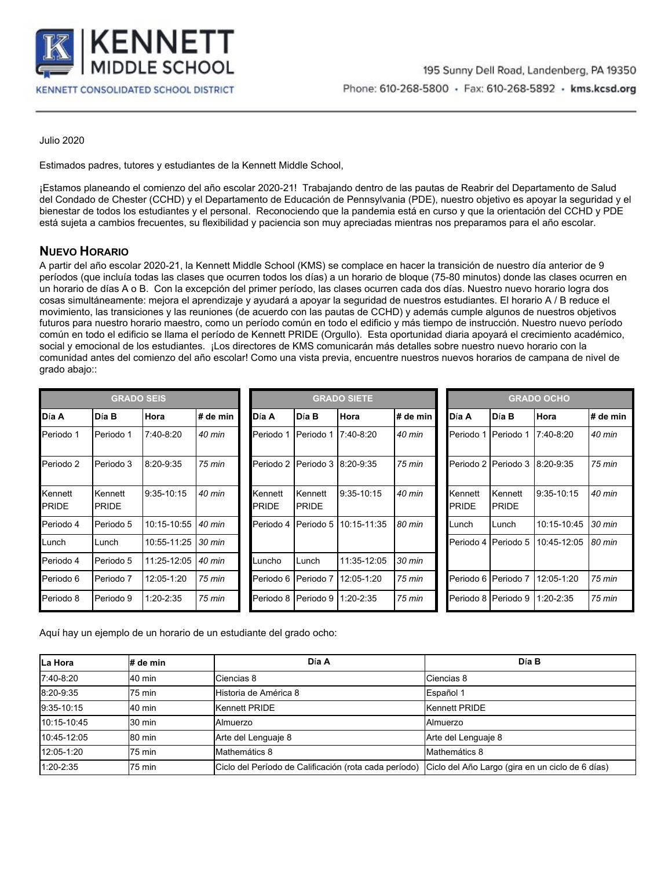

Julio 2020

Estimados padres, tutores y estudiantes de la Kennett Middle School,

¡Estamos planeando el comienzo del año escolar 2020-21! Trabajando dentro de las pautas de Reabrir del Departamento de Salud del Condado de Chester (CCHD) y el Departamento de Educación de Pennsylvania (PDE), nuestro objetivo es apoyar la seguridad y el bienestar de todos los estudiantes y el personal. Reconociendo que la pandemia está en curso y que la orientación del CCHD y PDE está sujeta a cambios frecuentes, su flexibilidad y paciencia son muy apreciadas mientras nos preparamos para el año escolar.

# **NUEVO HORARIO**

A partir del año escolar 2020-21, la Kennett Middle School (KMS) se complace en hacer la transición de nuestro día anterior de 9 períodos (que incluía todas las clases que ocurren todos los días) a un horario de bloque (75-80 minutos) donde las clases ocurren en un horario de días A o B. Con la excepción del primer período, las clases ocurren cada dos días. Nuestro nuevo horario logra dos cosas simultáneamente: mejora el aprendizaje y ayudará a apoyar la seguridad de nuestros estudiantes. El horario A / B reduce el movimiento, las transiciones y las reuniones (de acuerdo con las pautas de CCHD) y además cumple algunos de nuestros objetivos futuros para nuestro horario maestro, como un período común en todo el edificio y más tiempo de instrucción. Nuestro nuevo período común en todo el edificio se llama el período de Kennett PRIDE (Orgullo). Esta oportunidad diaria apoyará el crecimiento académico, social y emocional de los estudiantes. ¡Los directores de KMS comunicarán más detalles sobre nuestro nuevo horario con la comunidad antes del comienzo del año escolar! Como una vista previa, encuentre nuestros nuevos horarios de campana de nivel de grado abajo::

| <b>GRADO SEIS</b>       |                         |               |          | <b>GRADO SIETE</b>      |                         |               |          | <b>GRADO OCHO</b>       |                         |               |          |
|-------------------------|-------------------------|---------------|----------|-------------------------|-------------------------|---------------|----------|-------------------------|-------------------------|---------------|----------|
| Día A                   | Día B                   | Hora          | # de min | Día A                   | <b>Día B</b>            | Hora          | # de min | <b>Día A</b>            | Día B                   | Hora          | # de min |
| Periodo 1               | Periodo 1               | $7:40-8:20$   | 40 min   | Periodo 1               | Periodo 1               | $7:40-8:20$   | 40 min   | Periodo 1               | Periodo 1               | 7:40-8:20     | 40 min   |
| Periodo 2               | Periodo 3               | $8:20 - 9:35$ | 75 min   | Periodo 2   Periodo 3   |                         | $8:20-9:35$   | 75 min   | Periodo 2               | Periodo 3               | 8:20-9:35     | 75 min   |
| Kennett<br><b>PRIDE</b> | Kennett<br><b>PRIDE</b> | $9:35-10:15$  | 40 min   | Kennett<br><b>PRIDE</b> | Kennett<br><b>PRIDE</b> | $9:35-10:15$  | 40 min   | Kennett<br><b>PRIDE</b> | Kennett<br><b>PRIDE</b> | $9:35-10:15$  | 40 min   |
| Periodo 4               | Periodo 5               | 10:15-10:55   | 40 min   | Periodo 4               | Periodo 5               | 10:15-11:35   | 80 min   | lLunch                  | Lunch                   | 10:15-10:45   | 30 min   |
| Lunch                   | Lunch                   | 10:55-11:25   | 30 min   |                         |                         |               |          | Periodo 4               | Periodo 5               | 10:45-12:05   | 80 min   |
| Periodo 4               | Periodo 5               | 11:25-12:05   | 40 min   | Luncho                  | Lunch                   | 11:35-12:05   | 30 min   |                         |                         |               |          |
| Periodo 6               | Periodo 7               | 12:05-1:20    | 75 min   | Periodo 6   Periodo 7   |                         | 12:05-1:20    | 75 min   |                         | Periodo 6   Periodo 7   | 12:05-1:20    | 75 min   |
| Periodo 8               | Periodo 9               | $1:20 - 2:35$ | 75 min   | Periodo 8   Periodo 9   |                         | $1:20 - 2:35$ | 75 min   | Periodo 8               | Periodo 9               | $1:20 - 2:35$ | 75 min   |

Aquí hay un ejemplo de un horario de un estudiante del grado ocho:

| La Hora       | # de min | Día A                                                 | Día B                                            |
|---------------|----------|-------------------------------------------------------|--------------------------------------------------|
| 7:40-8:20     | 40 min   | Ciencias 8                                            | Ciencias 8                                       |
| 8:20-9:35     | 75 min   | Historia de América 8                                 | Español 1                                        |
| 9:35-10:15    | 40 min   | <b>Kennett PRIDE</b>                                  | Kennett PRIDE                                    |
| 10:15-10:45   | 30 min   | Almuerzo                                              | Almuerzo                                         |
| 10:45-12:05   | 80 min   | Arte del Lenguaje 8                                   | Arte del Lenguaje 8                              |
| 12:05-1:20    | 75 min   | Mathemátics 8                                         | Mathemátics 8                                    |
| $1:20 - 2:35$ | 75 min   | Ciclo del Período de Calificación (rota cada período) | Ciclo del Año Largo (gira en un ciclo de 6 días) |